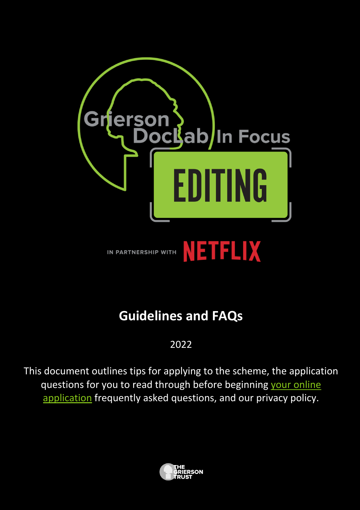

# **Guidelines and FAQs**

## 2022

This document outlines tips for applying to the scheme, the application questions for you to read through before beginning your online application frequently asked questions, and our privacy policy.

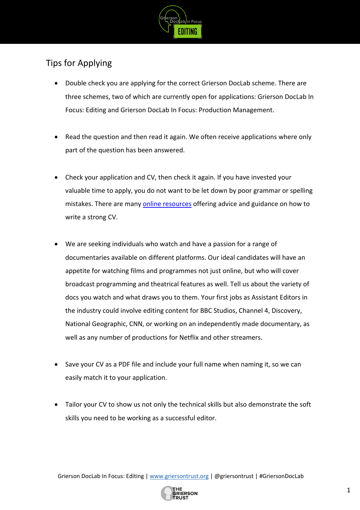

# Tips for Applying

- Double check you are applying for the correct Grierson DocLab scheme. There are three schemes, two of which are currently open for applications: Grierson DocLab In Focus: Editing and Grierson DocLab In Focus: Production Management.
- Read the question and then read it again. We often receive applications where only part of the question has been answered.
- Check your application and CV, then check it again. If you have invested your valuable time to apply, you do not want to be let down by poor grammar or spelling mistakes. There are many online resources offering advice and guidance on how to write a strong CV.
- We are seeking individuals who watch and have a passion for a range of documentaries available on different platforms. Our ideal candidates will have an appetite for watching films and programmes not just online, but who will cover broadcast programming and theatrical features as well. Tell us about the variety of docs you watch and what draws you to them. Your first jobs as Assistant Editors in the industry could involve editing content for BBC Studios, Channel 4, Discovery, National Geographic, CNN, or working on an independently made documentary, as well as any number of productions for Netflix and other streamers.
- Save your CV as a PDF file and include your full name when naming it, so we can easily match it to your application.
- Tailor your CV to show us not only the technical skills but also demonstrate the soft skills you need to be working as a successful editor.

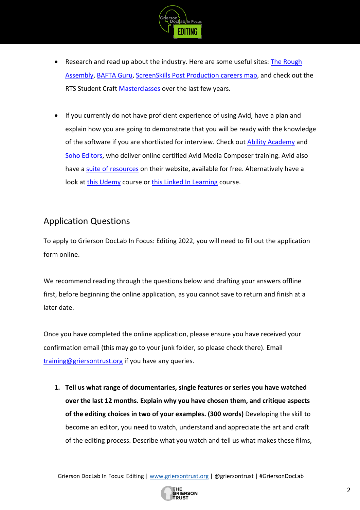

- Research and read up about the industry. Here are some useful sites: The Rough Assembly, BAFTA Guru, ScreenSkills Post Production careers map, and check out the RTS Student Craft Masterclasses over the last few years.
- If you currently do not have proficient experience of using Avid, have a plan and explain how you are going to demonstrate that you will be ready with the knowledge of the software if you are shortlisted for interview. Check out Ability Academy and Soho Editors, who deliver online certified Avid Media Composer training. Avid also have a suite of resources on their website, available for free. Alternatively have a look at this Udemy course or this Linked In Learning course.

### Application Questions

To apply to Grierson DocLab In Focus: Editing 2022, you will need to fill out the application form online.

We recommend reading through the questions below and drafting your answers offline first, before beginning the online application, as you cannot save to return and finish at a later date.

Once you have completed the online application, please ensure you have received your confirmation email (this may go to your junk folder, so please check there). Email training@griersontrust.org if you have any queries.

**1. Tell us what range of documentaries, single features or series you have watched over the last 12 months. Explain why you have chosen them, and critique aspects of the editing choices in two of your examples. (300 words)** Developing the skill to become an editor, you need to watch, understand and appreciate the art and craft of the editing process. Describe what you watch and tell us what makes these films,

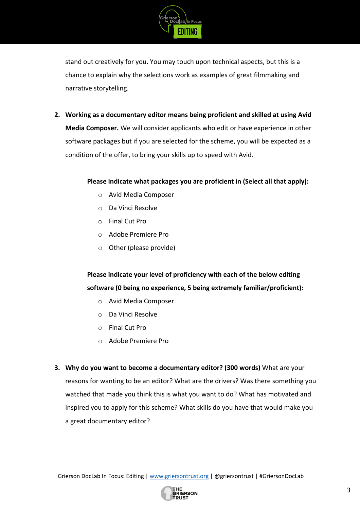

stand out creatively for you. You may touch upon technical aspects, but this is a chance to explain why the selections work as examples of great filmmaking and narrative storytelling.

**2. Working as a documentary editor means being proficient and skilled at using Avid Media Composer.** We will consider applicants who edit or have experience in other software packages but if you are selected for the scheme, you will be expected as a condition of the offer, to bring your skills up to speed with Avid.

#### **Please indicate what packages you are proficient in (Select all that apply):**

- o Avid Media Composer
- o Da Vinci Resolve
- o Final Cut Pro
- o Adobe Premiere Pro
- o Other (please provide)

**Please indicate your level of proficiency with each of the below editing software (0 being no experience, 5 being extremely familiar/proficient):**

- o Avid Media Composer
- o Da Vinci Resolve
- o Final Cut Pro
- o Adobe Premiere Pro
- **3. Why do you want to become a documentary editor? (300 words)** What are your reasons for wanting to be an editor? What are the drivers? Was there something you watched that made you think this is what you want to do? What has motivated and inspired you to apply for this scheme? What skills do you have that would make you a great documentary editor?

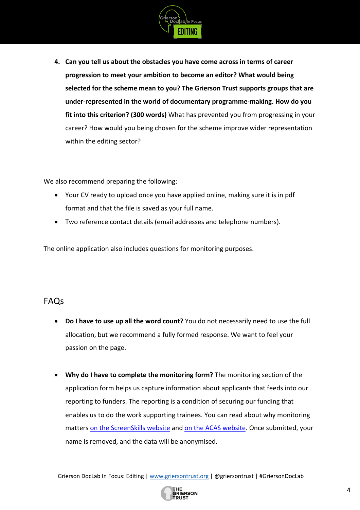

**4. Can you tell us about the obstacles you have come across in terms of career progression to meet your ambition to become an editor? What would being selected for the scheme mean to you? The Grierson Trust supports groups that are under-represented in the world of documentary programme-making. How do you fit into this criterion? (300 words)** What has prevented you from progressing in your career? How would you being chosen for the scheme improve wider representation within the editing sector?

We also recommend preparing the following:

- Your CV ready to upload once you have applied online, making sure it is in pdf format and that the file is saved as your full name.
- Two reference contact details (email addresses and telephone numbers).

The online application also includes questions for monitoring purposes.

#### FAQs

- **Do I have to use up all the word count?** You do not necessarily need to use the full allocation, but we recommend a fully formed response. We want to feel your passion on the page.
- **Why do I have to complete the monitoring form?** The monitoring section of the application form helps us capture information about applicants that feeds into our reporting to funders. The reporting is a condition of securing our funding that enables us to do the work supporting trainees. You can read about why monitoring matters on the ScreenSkills website and on the ACAS website. Once submitted, your name is removed, and the data will be anonymised.

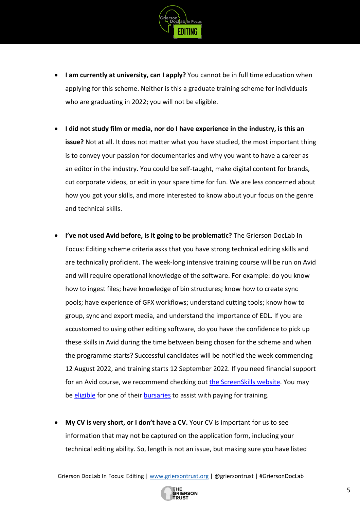

- **I am currently at university, can I apply?** You cannot be in full time education when applying for this scheme. Neither is this a graduate training scheme for individuals who are graduating in 2022; you will not be eligible.
- **I did not study film or media, nor do I have experience in the industry, is this an issue?** Not at all. It does not matter what you have studied, the most important thing is to convey your passion for documentaries and why you want to have a career as an editor in the industry. You could be self-taught, make digital content for brands, cut corporate videos, or edit in your spare time for fun. We are less concerned about how you got your skills, and more interested to know about your focus on the genre and technical skills.
- **I've not used Avid before, is it going to be problematic?** The Grierson DocLab In Focus: Editing scheme criteria asks that you have strong technical editing skills and are technically proficient. The week-long intensive training course will be run on Avid and will require operational knowledge of the software. For example: do you know how to ingest files; have knowledge of bin structures; know how to create sync pools; have experience of GFX workflows; understand cutting tools; know how to group, sync and export media, and understand the importance of EDL. If you are accustomed to using other editing software, do you have the confidence to pick up these skills in Avid during the time between being chosen for the scheme and when the programme starts? Successful candidates will be notified the week commencing 12 August 2022, and training starts 12 September 2022. If you need financial support for an Avid course, we recommend checking out the ScreenSkills website. You may be eligible for one of their bursaries to assist with paying for training.
- **My CV is very short, or I don't have a CV.** Your CV is important for us to see information that may not be captured on the application form, including your technical editing ability. So, length is not an issue, but making sure you have listed

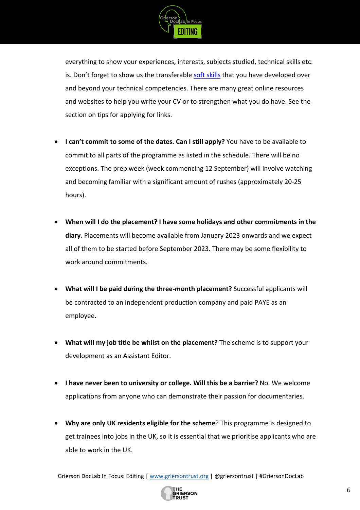

everything to show your experiences, interests, subjects studied, technical skills etc. is. Don't forget to show us the transferable soft skills that you have developed over and beyond your technical competencies. There are many great online resources and websites to help you write your CV or to strengthen what you do have. See the section on tips for applying for links.

- **I can't commit to some of the dates. Can I still apply?** You have to be available to commit to all parts of the programme as listed in the schedule. There will be no exceptions. The prep week (week commencing 12 September) will involve watching and becoming familiar with a significant amount of rushes (approximately 20-25 hours).
- **When will I do the placement? I have some holidays and other commitments in the diary.** Placements will become available from January 2023 onwards and we expect all of them to be started before September 2023. There may be some flexibility to work around commitments.
- **What will I be paid during the three-month placement?** Successful applicants will be contracted to an independent production company and paid PAYE as an employee.
- **What will my job title be whilst on the placement?** The scheme is to support your development as an Assistant Editor.
- **I have never been to university or college. Will this be a barrier?** No. We welcome applications from anyone who can demonstrate their passion for documentaries.
- **Why are only UK residents eligible for the scheme**? This programme is designed to get trainees into jobs in the UK, so it is essential that we prioritise applicants who are able to work in the UK.

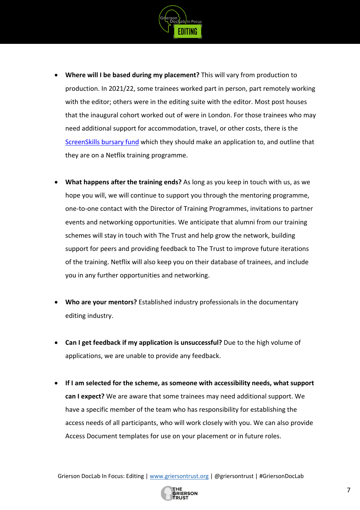

- **Where will I be based during my placement?** This will vary from production to production. In 2021/22, some trainees worked part in person, part remotely working with the editor; others were in the editing suite with the editor. Most post houses that the inaugural cohort worked out of were in London. For those trainees who may need additional support for accommodation, travel, or other costs, there is the ScreenSkills bursary fund which they should make an application to, and outline that they are on a Netflix training programme.
- **What happens after the training ends?** As long as you keep in touch with us, as we hope you will, we will continue to support you through the mentoring programme, one-to-one contact with the Director of Training Programmes, invitations to partner events and networking opportunities. We anticipate that alumni from our training schemes will stay in touch with The Trust and help grow the network, building support for peers and providing feedback to The Trust to improve future iterations of the training. Netflix will also keep you on their database of trainees, and include you in any further opportunities and networking.
- **Who are your mentors?** Established industry professionals in the documentary editing industry.
- **Can I get feedback if my application is unsuccessful?** Due to the high volume of applications, we are unable to provide any feedback.
- **If I am selected for the scheme, as someone with accessibility needs, what support can I expect?** We are aware that some trainees may need additional support. We have a specific member of the team who has responsibility for establishing the access needs of all participants, who will work closely with you. We can also provide Access Document templates for use on your placement or in future roles.

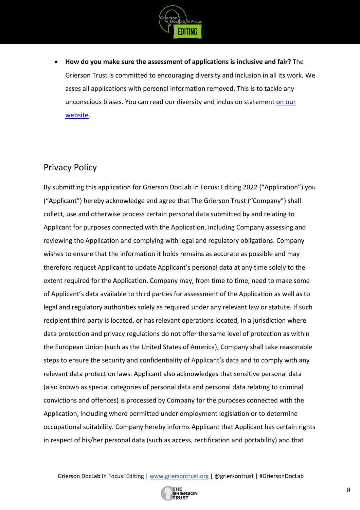

• **How do you make sure the assessment of applications is inclusive and fair?** The Grierson Trust is committed to encouraging diversity and inclusion in all its work. We asses all applications with personal information removed. This is to tackle any unconscious biases. You can read our diversity and inclusion statement on our website.

#### Privacy Policy

By submitting this application for Grierson DocLab In Focus: Editing 2022 ("Application") you ("Applicant") hereby acknowledge and agree that The Grierson Trust ("Company") shall collect, use and otherwise process certain personal data submitted by and relating to Applicant for purposes connected with the Application, including Company assessing and reviewing the Application and complying with legal and regulatory obligations. Company wishes to ensure that the information it holds remains as accurate as possible and may therefore request Applicant to update Applicant's personal data at any time solely to the extent required for the Application. Company may, from time to time, need to make some of Applicant's data available to third parties for assessment of the Application as well as to legal and regulatory authorities solely as required under any relevant law or statute. If such recipient third party is located, or has relevant operations located, in a jurisdiction where data protection and privacy regulations do not offer the same level of protection as within the European Union (such as the United States of America), Company shall take reasonable steps to ensure the security and confidentiality of Applicant's data and to comply with any relevant data protection laws. Applicant also acknowledges that sensitive personal data (also known as special categories of personal data and personal data relating to criminal convictions and offences) is processed by Company for the purposes connected with the Application, including where permitted under employment legislation or to determine occupational suitability. Company hereby informs Applicant that Applicant has certain rights in respect of his/her personal data (such as access, rectification and portability) and that